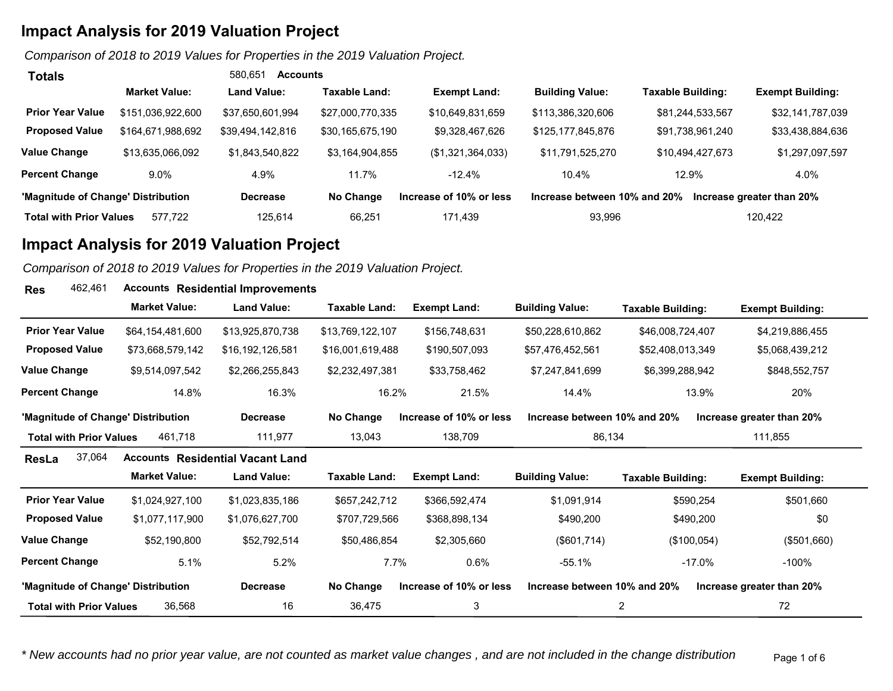*Comparison of 2018 to 2019 Values for Properties in the 2019 Valuation Project.* 

| Totals                             |                      | 580.651<br>Accounts |                  |                         |                              |                   |                           |
|------------------------------------|----------------------|---------------------|------------------|-------------------------|------------------------------|-------------------|---------------------------|
|                                    | <b>Market Value:</b> | <b>Land Value:</b>  | Taxable Land:    | <b>Exempt Land:</b>     | <b>Building Value:</b>       | Taxable Building: | <b>Exempt Building:</b>   |
| <b>Prior Year Value</b>            | \$151,036,922,600    | \$37.650.601.994    | \$27,000,770,335 | \$10,649,831,659        | \$113,386,320,606            | \$81,244,533,567  | \$32,141,787,039          |
| <b>Proposed Value</b>              | \$164,671,988,692    | \$39,494,142,816    | \$30,165,675,190 | \$9,328,467,626         | \$125,177,845,876            | \$91,738,961,240  | \$33,438,884,636          |
| <b>Value Change</b>                | \$13,635,066,092     | \$1,843,540,822     | \$3,164,904,855  | (\$1,321,364,033)       | \$11,791,525,270             | \$10,494,427,673  | \$1,297,097,597           |
| <b>Percent Change</b>              | $9.0\%$              | 4.9%                | 11.7%            | $-12.4%$                | 10.4%                        | 12.9%             | 4.0%                      |
| 'Magnitude of Change' Distribution |                      | <b>Decrease</b>     | No Change        | Increase of 10% or less | Increase between 10% and 20% |                   | Increase greater than 20% |
| <b>Total with Prior Values</b>     | 577.722              | 125.614             | 66.251           | 171.439                 | 93.996                       |                   | 120,422                   |

### **Impact Analysis for 2019 Valuation Project**

**Res**

*Comparison of 2018 to 2019 Values for Properties in the 2019 Valuation Project.* 

| 462,461<br><b>Res</b>              |                      | <b>Accounts Residential Improvements</b> |                      |                         |                              |                          |                           |
|------------------------------------|----------------------|------------------------------------------|----------------------|-------------------------|------------------------------|--------------------------|---------------------------|
|                                    | <b>Market Value:</b> | <b>Land Value:</b>                       | <b>Taxable Land:</b> | <b>Exempt Land:</b>     | <b>Building Value:</b>       | <b>Taxable Building:</b> | <b>Exempt Building:</b>   |
| <b>Prior Year Value</b>            | \$64,154,481,600     | \$13,925,870,738                         | \$13,769,122,107     | \$156,748,631           | \$50,228,610,862             | \$46,008,724,407         | \$4,219,886,455           |
| <b>Proposed Value</b>              | \$73,668,579,142     | \$16,192,126,581                         | \$16,001,619,488     | \$190,507,093           | \$57,476,452,561             | \$52,408,013,349         | \$5,068,439,212           |
| Value Change                       | \$9,514,097,542      | \$2,266,255,843                          | \$2,232,497,381      | \$33,758,462            | \$7,247,841,699              | \$6,399,288,942          | \$848,552,757             |
| <b>Percent Change</b>              | 14.8%                | 16.3%                                    | 16.2%                | 21.5%                   | 14.4%                        | 13.9%                    | 20%                       |
| 'Magnitude of Change' Distribution |                      | <b>Decrease</b>                          | No Change            | Increase of 10% or less | Increase between 10% and 20% |                          | Increase greater than 20% |
| <b>Total with Prior Values</b>     | 461,718              | 111,977                                  | 13,043               | 138,709                 | 86,134                       |                          | 111,855                   |
| 37,064<br>ResLa                    |                      | <b>Accounts Residential Vacant Land</b>  |                      |                         |                              |                          |                           |
|                                    | <b>Market Value:</b> | <b>Land Value:</b>                       | <b>Taxable Land:</b> | <b>Exempt Land:</b>     | <b>Building Value:</b>       | <b>Taxable Building:</b> | <b>Exempt Building:</b>   |
| <b>Prior Year Value</b>            | \$1,024,927,100      | \$1,023,835,186                          | \$657,242,712        | \$366,592,474           | \$1,091,914                  | \$590,254                | \$501,660                 |
| <b>Proposed Value</b>              | \$1,077,117,900      | \$1,076,627,700                          | \$707,729,566        | \$368,898,134           | \$490,200                    | \$490,200                | \$0                       |
| Value Change                       | \$52,190,800         | \$52,792,514                             | \$50,486,854         | \$2,305,660             | (\$601,714)                  | (\$100,054)              | (\$501,660)               |
| <b>Percent Change</b>              | 5.1%                 | 5.2%                                     | 7.7%                 | 0.6%                    | $-55.1%$                     | $-17.0\%$                | -100%                     |
| 'Magnitude of Change' Distribution |                      | <b>Decrease</b>                          | No Change            | Increase of 10% or less | Increase between 10% and 20% |                          | Increase greater than 20% |
| <b>Total with Prior Values</b>     | 36,568               | 16                                       | 36,475               | 3                       |                              | $\overline{2}$           | 72                        |

*\* New accounts had no prior year value, are not counted as market value changes , and are not included in the change distribution* Page 1 of 6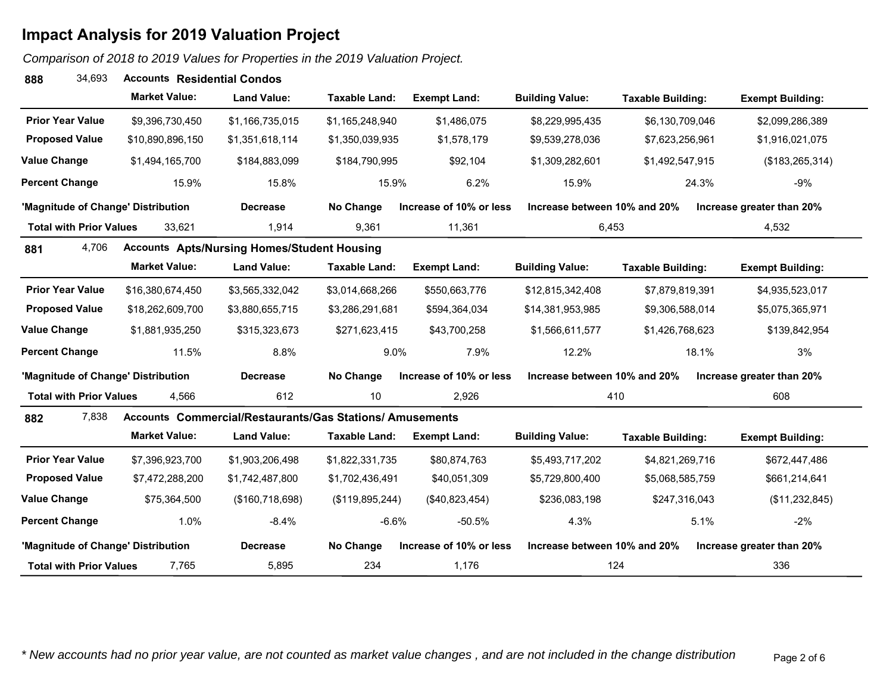*Comparison of 2018 to 2019 Values for Properties in the 2019 Valuation Project.* 

| 34,693<br>888                      | <b>Accounts Residential Condos</b> |                                                                 |                      |                         |                              |                          |                           |
|------------------------------------|------------------------------------|-----------------------------------------------------------------|----------------------|-------------------------|------------------------------|--------------------------|---------------------------|
|                                    | <b>Market Value:</b>               | <b>Land Value:</b>                                              | Taxable Land:        | <b>Exempt Land:</b>     | <b>Building Value:</b>       | <b>Taxable Building:</b> | <b>Exempt Building:</b>   |
| <b>Prior Year Value</b>            | \$9,396,730,450                    | \$1,166,735,015                                                 | \$1,165,248,940      | \$1,486,075             | \$8,229,995,435              | \$6,130,709,046          | \$2,099,286,389           |
| <b>Proposed Value</b>              | \$10,890,896,150                   | \$1,351,618,114                                                 | \$1,350,039,935      | \$1,578,179             | \$9,539,278,036              | \$7,623,256,961          | \$1,916,021,075           |
| <b>Value Change</b>                | \$1,494,165,700                    | \$184,883,099                                                   | \$184,790,995        | \$92,104                | \$1,309,282,601              | \$1,492,547,915          | (\$183, 265, 314)         |
| <b>Percent Change</b>              | 15.9%                              | 15.8%                                                           | 15.9%                | 6.2%                    | 15.9%                        | 24.3%                    | $-9%$                     |
| 'Magnitude of Change' Distribution |                                    | <b>Decrease</b>                                                 | No Change            | Increase of 10% or less | Increase between 10% and 20% |                          | Increase greater than 20% |
| <b>Total with Prior Values</b>     | 33,621                             | 1,914                                                           | 9,361                | 11,361                  | 6,453                        |                          | 4,532                     |
| 4,706<br>881                       |                                    | <b>Accounts Apts/Nursing Homes/Student Housing</b>              |                      |                         |                              |                          |                           |
|                                    | <b>Market Value:</b>               | <b>Land Value:</b>                                              | <b>Taxable Land:</b> | <b>Exempt Land:</b>     | <b>Building Value:</b>       | <b>Taxable Building:</b> | <b>Exempt Building:</b>   |
| <b>Prior Year Value</b>            | \$16,380,674,450                   | \$3,565,332,042                                                 | \$3,014,668,266      | \$550,663,776           | \$12,815,342,408             | \$7,879,819,391          | \$4,935,523,017           |
| <b>Proposed Value</b>              | \$18,262,609,700                   | \$3,880,655,715                                                 | \$3,286,291,681      | \$594,364,034           | \$14,381,953,985             | \$9,306,588,014          | \$5,075,365,971           |
| <b>Value Change</b>                | \$1,881,935,250                    | \$315,323,673                                                   | \$271,623,415        | \$43,700,258            | \$1,566,611,577              | \$1,426,768,623          | \$139,842,954             |
| <b>Percent Change</b>              | 11.5%                              | 8.8%                                                            | 9.0%                 | 7.9%                    | 12.2%                        | 18.1%                    | 3%                        |
| 'Magnitude of Change' Distribution |                                    | <b>Decrease</b>                                                 | No Change            | Increase of 10% or less | Increase between 10% and 20% |                          | Increase greater than 20% |
| <b>Total with Prior Values</b>     | 4,566                              | 612                                                             | 10                   | 2,926                   |                              | 410                      | 608                       |
| 7,838<br>882                       |                                    | <b>Accounts Commercial/Restaurants/Gas Stations/ Amusements</b> |                      |                         |                              |                          |                           |
|                                    | <b>Market Value:</b>               | <b>Land Value:</b>                                              | <b>Taxable Land:</b> | <b>Exempt Land:</b>     | <b>Building Value:</b>       | <b>Taxable Building:</b> | <b>Exempt Building:</b>   |
| <b>Prior Year Value</b>            | \$7,396,923,700                    | \$1,903,206,498                                                 | \$1,822,331,735      | \$80,874,763            | \$5,493,717,202              | \$4,821,269,716          | \$672,447,486             |
| <b>Proposed Value</b>              | \$7,472,288,200                    | \$1,742,487,800                                                 | \$1,702,436,491      | \$40,051,309            | \$5,729,800,400              | \$5,068,585,759          | \$661,214,641             |
| <b>Value Change</b>                | \$75,364,500                       | (\$160,718,698)                                                 | (\$119,895,244)      | (\$40,823,454)          | \$236,083,198                | \$247,316,043            | (\$11,232,845)            |
| <b>Percent Change</b>              | 1.0%                               | $-8.4%$                                                         | $-6.6%$              | $-50.5%$                | 4.3%                         | 5.1%                     | $-2%$                     |
| 'Magnitude of Change' Distribution |                                    | <b>Decrease</b>                                                 | No Change            | Increase of 10% or less | Increase between 10% and 20% |                          | Increase greater than 20% |
| <b>Total with Prior Values</b>     | 7,765                              | 5,895                                                           | 234                  | 1,176                   |                              | 124                      | 336                       |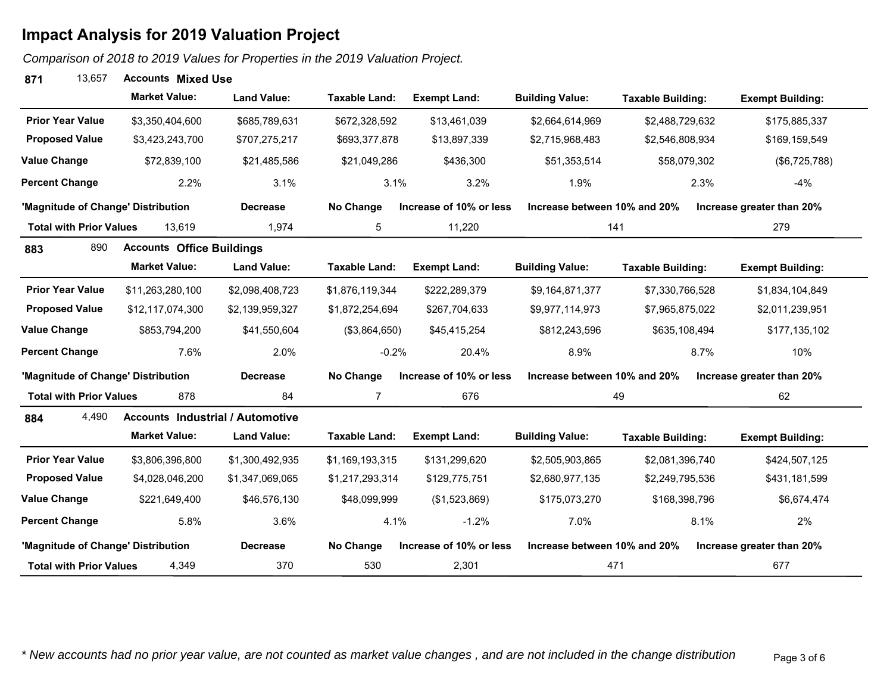*Comparison of 2018 to 2019 Values for Properties in the 2019 Valuation Project.* 

### **1** 13,657 **Accounts Mixed Use 871**

|                                    | <b>Market Value:</b>                    | <b>Land Value:</b> | <b>Taxable Land:</b> | <b>Exempt Land:</b>     | <b>Building Value:</b>       | <b>Taxable Building:</b> | <b>Exempt Building:</b>   |
|------------------------------------|-----------------------------------------|--------------------|----------------------|-------------------------|------------------------------|--------------------------|---------------------------|
| <b>Prior Year Value</b>            | \$3,350,404,600                         | \$685,789,631      | \$672,328,592        | \$13,461,039            | \$2,664,614,969              | \$2,488,729,632          | \$175,885,337             |
| <b>Proposed Value</b>              | \$3,423,243,700                         | \$707,275,217      | \$693,377,878        | \$13,897,339            | \$2,715,968,483              | \$2,546,808,934          | \$169,159,549             |
| <b>Value Change</b>                | \$72,839,100                            | \$21,485,586       | \$21,049,286         | \$436,300               | \$51,353,514                 | \$58,079,302             | (\$6,725,788)             |
| <b>Percent Change</b>              | 2.2%                                    | 3.1%               | 3.1%                 | 3.2%                    | 1.9%                         |                          | 2.3%<br>$-4%$             |
| 'Magnitude of Change' Distribution |                                         | <b>Decrease</b>    | No Change            | Increase of 10% or less | Increase between 10% and 20% |                          | Increase greater than 20% |
| <b>Total with Prior Values</b>     | 13,619                                  | 1,974              | 5                    | 11,220                  |                              | 141                      | 279                       |
| 890<br>883                         | <b>Accounts Office Buildings</b>        |                    |                      |                         |                              |                          |                           |
|                                    | <b>Market Value:</b>                    | <b>Land Value:</b> | <b>Taxable Land:</b> | <b>Exempt Land:</b>     | <b>Building Value:</b>       | <b>Taxable Building:</b> | <b>Exempt Building:</b>   |
| <b>Prior Year Value</b>            | \$11,263,280,100                        | \$2,098,408,723    | \$1,876,119,344      | \$222,289,379           | \$9,164,871,377              | \$7,330,766,528          | \$1,834,104,849           |
| <b>Proposed Value</b>              | \$12,117,074,300                        | \$2,139,959,327    | \$1,872,254,694      | \$267,704,633           | \$9,977,114,973              | \$7,965,875,022          | \$2,011,239,951           |
| <b>Value Change</b>                | \$853,794,200                           | \$41,550,604       | (\$3,864,650)        | \$45,415,254            | \$812,243,596                | \$635,108,494            | \$177,135,102             |
| <b>Percent Change</b>              | 7.6%                                    | 2.0%               | $-0.2%$              | 20.4%                   | 8.9%                         |                          | 8.7%<br>10%               |
| 'Magnitude of Change' Distribution |                                         | <b>Decrease</b>    | No Change            | Increase of 10% or less | Increase between 10% and 20% |                          | Increase greater than 20% |
| <b>Total with Prior Values</b>     | 878                                     | 84                 | $\overline{7}$       | 676                     |                              | 49                       | 62                        |
| 4,490<br>884                       | <b>Accounts Industrial / Automotive</b> |                    |                      |                         |                              |                          |                           |
|                                    | <b>Market Value:</b>                    | <b>Land Value:</b> | <b>Taxable Land:</b> | <b>Exempt Land:</b>     | <b>Building Value:</b>       | <b>Taxable Building:</b> | <b>Exempt Building:</b>   |
| <b>Prior Year Value</b>            | \$3,806,396,800                         | \$1,300,492,935    | \$1,169,193,315      | \$131,299,620           | \$2,505,903,865              | \$2,081,396,740          | \$424,507,125             |
| <b>Proposed Value</b>              | \$4,028,046,200                         | \$1,347,069,065    | \$1,217,293,314      | \$129,775,751           | \$2,680,977,135              | \$2,249,795,536          | \$431,181,599             |
| <b>Value Change</b>                | \$221,649,400                           | \$46,576,130       | \$48,099,999         | (\$1,523,869)           | \$175,073,270                | \$168,398,796            | \$6,674,474               |
| <b>Percent Change</b>              | 5.8%                                    | 3.6%               | 4.1%                 | $-1.2%$                 | 7.0%                         |                          | 8.1%<br>2%                |
| 'Magnitude of Change' Distribution |                                         | <b>Decrease</b>    | No Change            | Increase of 10% or less | Increase between 10% and 20% |                          | Increase greater than 20% |
| <b>Total with Prior Values</b>     | 4,349                                   | 370                | 530                  | 2,301                   |                              | 471                      | 677                       |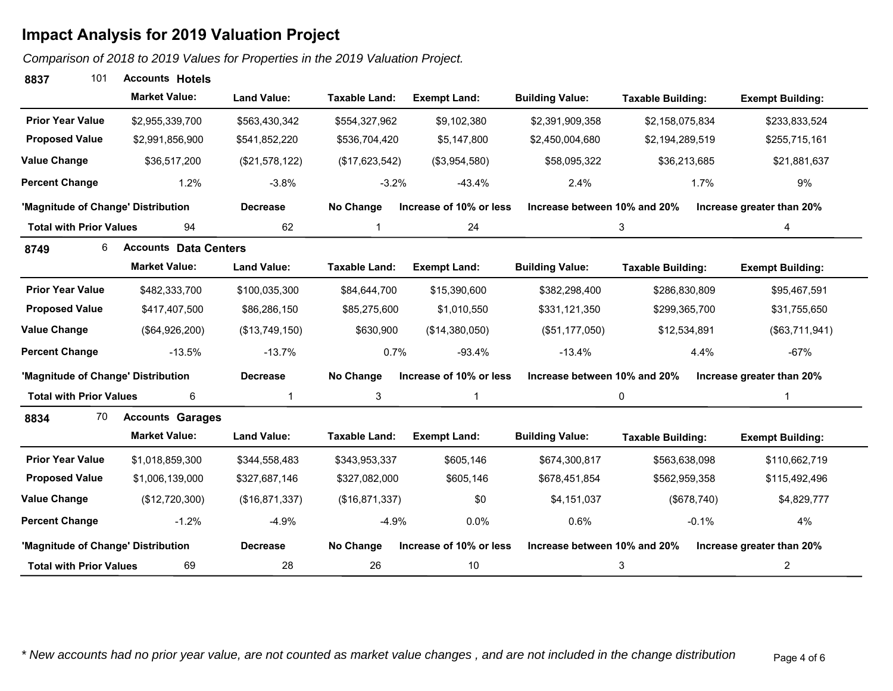*Comparison of 2018 to 2019 Values for Properties in the 2019 Valuation Project.* 

### **7** 101 Accounts Hotels **8837**

|                                    | <b>Market Value:</b>         | <b>Land Value:</b> | <b>Taxable Land:</b> | <b>Exempt Land:</b>     | <b>Building Value:</b>       | <b>Taxable Building:</b> | <b>Exempt Building:</b>   |
|------------------------------------|------------------------------|--------------------|----------------------|-------------------------|------------------------------|--------------------------|---------------------------|
| <b>Prior Year Value</b>            | \$2,955,339,700              | \$563,430,342      | \$554,327,962        | \$9,102,380             | \$2,391,909,358              | \$2,158,075,834          | \$233,833,524             |
| <b>Proposed Value</b>              | \$2,991,856,900              | \$541,852,220      | \$536,704,420        | \$5,147,800             | \$2,450,004,680              | \$2,194,289,519          | \$255,715,161             |
| <b>Value Change</b>                | \$36,517,200                 | (\$21,578,122)     | (\$17,623,542)       | (\$3,954,580)           | \$58,095,322                 | \$36,213,685             | \$21,881,637              |
| <b>Percent Change</b>              | 1.2%                         | $-3.8%$            | $-3.2%$              | $-43.4%$                | 2.4%                         | 1.7%                     | 9%                        |
| 'Magnitude of Change' Distribution |                              | <b>Decrease</b>    | No Change            | Increase of 10% or less | Increase between 10% and 20% |                          | Increase greater than 20% |
| <b>Total with Prior Values</b>     | 94                           | 62                 | $\mathbf{1}$         | 24                      |                              | 3                        | 4                         |
| 6<br>8749                          | <b>Accounts Data Centers</b> |                    |                      |                         |                              |                          |                           |
|                                    | <b>Market Value:</b>         | <b>Land Value:</b> | <b>Taxable Land:</b> | <b>Exempt Land:</b>     | <b>Building Value:</b>       | <b>Taxable Building:</b> | <b>Exempt Building:</b>   |
| <b>Prior Year Value</b>            | \$482,333,700                | \$100,035,300      | \$84,644,700         | \$15,390,600            | \$382,298,400                | \$286,830,809            | \$95,467,591              |
| <b>Proposed Value</b>              | \$417,407,500                | \$86,286,150       | \$85,275,600         | \$1,010,550             | \$331,121,350                | \$299,365,700            | \$31,755,650              |
| <b>Value Change</b>                | (\$64,926,200)               | (\$13,749,150)     | \$630,900            | (\$14,380,050)          | (\$51,177,050)               | \$12,534,891             | (\$63,711,941)            |
| <b>Percent Change</b>              | $-13.5%$                     | $-13.7%$           | 0.7%                 | $-93.4%$                | $-13.4%$                     | 4.4%                     | $-67%$                    |
| 'Magnitude of Change' Distribution |                              | <b>Decrease</b>    | No Change            | Increase of 10% or less | Increase between 10% and 20% |                          | Increase greater than 20% |
| <b>Total with Prior Values</b>     | 6                            | 1                  | 3                    | $\mathbf{1}$            |                              | 0                        | $\mathbf{1}$              |
| 70<br>8834                         | <b>Accounts Garages</b>      |                    |                      |                         |                              |                          |                           |
|                                    | <b>Market Value:</b>         | <b>Land Value:</b> | <b>Taxable Land:</b> | <b>Exempt Land:</b>     | <b>Building Value:</b>       | <b>Taxable Building:</b> | <b>Exempt Building:</b>   |
| <b>Prior Year Value</b>            | \$1,018,859,300              | \$344,558,483      | \$343,953,337        | \$605,146               | \$674,300,817                | \$563,638,098            | \$110,662,719             |
| <b>Proposed Value</b>              | \$1,006,139,000              | \$327,687,146      | \$327,082,000        | \$605,146               | \$678,451,854                | \$562,959,358            | \$115,492,496             |
| <b>Value Change</b>                | (\$12,720,300)               | (\$16,871,337)     | (\$16,871,337)       | \$0                     | \$4,151,037                  | (\$678,740)              | \$4,829,777               |
| <b>Percent Change</b>              | $-1.2%$                      | $-4.9%$            | $-4.9%$              | 0.0%                    | 0.6%                         | $-0.1%$                  | 4%                        |
| 'Magnitude of Change' Distribution |                              | <b>Decrease</b>    | No Change            | Increase of 10% or less | Increase between 10% and 20% |                          | Increase greater than 20% |
| <b>Total with Prior Values</b>     | 69                           | 28                 | 26                   | 10                      |                              | 3                        | $\overline{2}$            |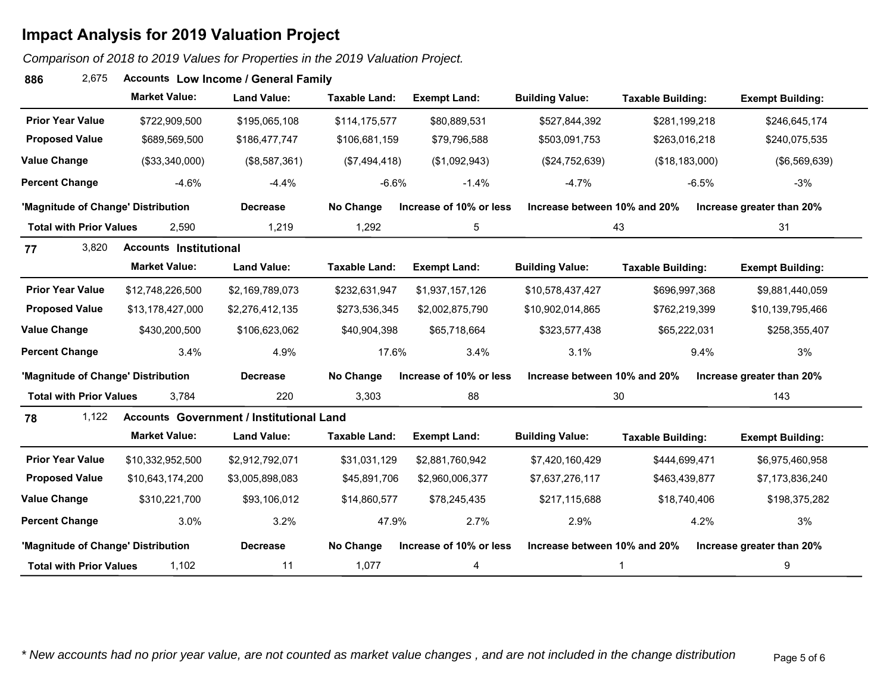### *Comparison of 2018 to 2019 Values for Properties in the 2019 Valuation Project.*

#### **Accounts** 2,675 **Low Income / General Family 886**

|                                    | <b>Market Value:</b>          | <b>Land Value:</b>                              | <b>Taxable Land:</b> | <b>Exempt Land:</b>     | <b>Building Value:</b>       | <b>Taxable Building:</b> | <b>Exempt Building:</b>   |
|------------------------------------|-------------------------------|-------------------------------------------------|----------------------|-------------------------|------------------------------|--------------------------|---------------------------|
| <b>Prior Year Value</b>            | \$722,909,500                 | \$195,065,108                                   | \$114,175,577        | \$80,889,531            | \$527,844,392                | \$281,199,218            | \$246,645,174             |
| <b>Proposed Value</b>              | \$689,569,500                 | \$186,477,747                                   | \$106,681,159        | \$79,796,588            | \$503,091,753                | \$263,016,218            | \$240,075,535             |
| <b>Value Change</b>                | (\$33,340,000)                | (\$8,587,361)                                   | (\$7,494,418)        | (\$1,092,943)           | (\$24,752,639)               | (\$18,183,000)           | (\$6,569,639)             |
| <b>Percent Change</b>              | $-4.6%$                       | $-4.4%$                                         | $-6.6%$              | $-1.4%$                 | $-4.7%$                      | $-6.5%$                  | $-3%$                     |
| 'Magnitude of Change' Distribution |                               | <b>Decrease</b>                                 | No Change            | Increase of 10% or less | Increase between 10% and 20% |                          | Increase greater than 20% |
| <b>Total with Prior Values</b>     | 2,590                         | 1,219                                           | 1,292                | 5                       |                              | 43                       | 31                        |
| 3,820<br>77                        | <b>Accounts Institutional</b> |                                                 |                      |                         |                              |                          |                           |
|                                    | <b>Market Value:</b>          | <b>Land Value:</b>                              | <b>Taxable Land:</b> | <b>Exempt Land:</b>     | <b>Building Value:</b>       | <b>Taxable Building:</b> | <b>Exempt Building:</b>   |
| <b>Prior Year Value</b>            | \$12,748,226,500              | \$2,169,789,073                                 | \$232,631,947        | \$1,937,157,126         | \$10,578,437,427             | \$696,997,368            | \$9,881,440,059           |
| <b>Proposed Value</b>              | \$13,178,427,000              | \$2,276,412,135                                 | \$273,536,345        | \$2,002,875,790         | \$10,902,014,865             | \$762,219,399            | \$10,139,795,466          |
| <b>Value Change</b>                | \$430,200,500                 | \$106,623,062                                   | \$40,904,398         | \$65,718,664            | \$323,577,438                | \$65,222,031             | \$258,355,407             |
| <b>Percent Change</b>              | 3.4%                          | 4.9%                                            | 17.6%                | 3.4%                    | 3.1%                         | 9.4%                     | 3%                        |
| 'Magnitude of Change' Distribution |                               | <b>Decrease</b>                                 | No Change            | Increase of 10% or less | Increase between 10% and 20% |                          | Increase greater than 20% |
| <b>Total with Prior Values</b>     | 3,784                         | 220                                             | 3,303                | 88                      |                              | 30                       | 143                       |
| 1,122<br>78                        |                               | <b>Accounts Government / Institutional Land</b> |                      |                         |                              |                          |                           |
|                                    | <b>Market Value:</b>          | <b>Land Value:</b>                              | <b>Taxable Land:</b> | <b>Exempt Land:</b>     | <b>Building Value:</b>       | <b>Taxable Building:</b> | <b>Exempt Building:</b>   |
| <b>Prior Year Value</b>            | \$10,332,952,500              | \$2,912,792,071                                 | \$31,031,129         | \$2,881,760,942         | \$7,420,160,429              | \$444,699,471            | \$6,975,460,958           |
| <b>Proposed Value</b>              | \$10,643,174,200              | \$3,005,898,083                                 | \$45,891,706         | \$2,960,006,377         | \$7,637,276,117              | \$463,439,877            | \$7,173,836,240           |
| <b>Value Change</b>                | \$310,221,700                 | \$93,106,012                                    | \$14,860,577         | \$78,245,435            | \$217,115,688                | \$18,740,406             | \$198,375,282             |
| <b>Percent Change</b>              | 3.0%                          | 3.2%                                            | 47.9%                | 2.7%                    | 2.9%                         | 4.2%                     | 3%                        |
| 'Magnitude of Change' Distribution |                               | <b>Decrease</b>                                 | No Change            | Increase of 10% or less | Increase between 10% and 20% |                          | Increase greater than 20% |
| <b>Total with Prior Values</b>     | 1,102                         | 11                                              | 1,077                | 4                       |                              | -1                       | 9                         |